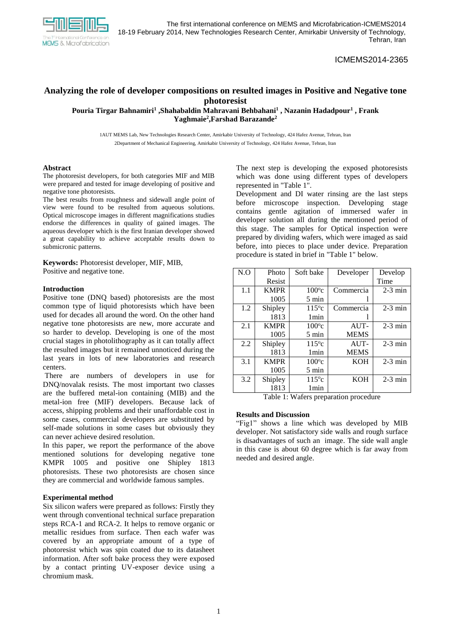

ICMEMS2014-2365

# **Analyzing the role of developer compositions on resulted images in Positive and Negative tone photoresist**

**Pouria Tirgar Bahnamiri<sup>1</sup> ,Shahabaldin Mahravani Behbahani<sup>1</sup> , Nazanin Hadadpour<sup>1</sup> , Frank Yaghmaie<sup>2</sup> ,Farshad Barazande<sup>2</sup>**

1AUT MEMS Lab, New Technologies Research Center, Amirkabir University of Technology, 424 Hafez Avenue, Tehran, Iran 2Department of Mechanical Engineering, Amirkabir University of Technology, 424 Hafez Avenue, Tehran, Iran

## **Abstract**

The photoresist developers, for both categories MIF and MIB were prepared and tested for image developing of positive and negative tone photoresists.

The best results from roughness and sidewall angle point of view were found to be resulted from aqueous solutions. Optical microscope images in different magnifications studies endorse the differences in quality of gained images. The aqueous developer which is the first Iranian developer showed a great capability to achieve acceptable results down to submicronic patterns.

**Keywords:** Photoresist developer, MIF, MIB, Positive and negative tone.

#### **Introduction**

Positive tone (DNQ based) photoresists are the most common type of liquid photoresists which have been used for decades all around the word. On the other hand negative tone photoresists are new, more accurate and so harder to develop. Developing is one of the most crucial stages in photolithography as it can totally affect the resulted images but it remained unnoticed during the last years in lots of new laboratories and research centers.

There are numbers of developers in use for DNQ/novalak resists. The most important two classes are the buffered metal-ion containing (MIB) and the metal-ion free (MIF) developers. Because lack of access, shipping problems and their unaffordable cost in some cases, commercial developers are substituted by self-made solutions in some cases but obviously they can never achieve desired resolution.

In this paper, we report the performance of the above mentioned solutions for developing negative tone KMPR 1005 and positive one Shipley 1813 photoresists. These two photoresists are chosen since they are commercial and worldwide famous samples.

### **Experimental method**

Six silicon wafers were prepared as follows: Firstly they went through conventional technical surface preparation steps RCA-1 and RCA-2. It helps to remove organic or metallic residues from surface. Then each wafer was covered by an appropriate amount of a type of photoresist which was spin coated due to its datasheet information. After soft bake process they were exposed by a contact printing UV-exposer device using a chromium mask.

The next step is developing the exposed photoresists which was done using different types of developers represented in "Table 1".

Development and DI water rinsing are the last steps before microscope inspection. Developing stage contains gentle agitation of immersed wafer in developer solution all during the mentioned period of this stage. The samples for Optical inspection were prepared by dividing wafers, which were imaged as said before, into pieces to place under device. Preparation procedure is stated in brief in "Table 1" below.

| N.O | Photo       | Soft bake        | Developer   | Develop   |
|-----|-------------|------------------|-------------|-----------|
|     | Resist      |                  |             | Time      |
| 1.1 | <b>KMPR</b> | $100^{\circ}$ c  | Commercia   | $2-3$ min |
|     | 1005        | $5 \text{ min}$  |             |           |
| 1.2 | Shipley     | $115^{\circ}c$   | Commercia   | $2-3$ min |
|     | 1813        | 1 <sub>min</sub> |             |           |
| 2.1 | <b>KMPR</b> | $100^{\circ}c$   | AUT-        | $2-3$ min |
|     | 1005        | 5 min            | <b>MEMS</b> |           |
| 2.2 | Shipley     | $115^{\circ}c$   | $AIIT-$     | $2-3$ min |
|     | 1813        | 1 <sub>min</sub> | <b>MEMS</b> |           |
| 3.1 | <b>KMPR</b> | $100^{\circ}$ c  | <b>KOH</b>  | $2-3$ min |
|     | 1005        | 5 min            |             |           |
| 3.2 | Shipley     | $115^{\circ}c$   | <b>KOH</b>  | $2-3$ min |
|     | 1813        | 1 min            |             |           |

Table 1: Wafers preparation procedure

## **Results and Discussion**

"Fig1" shows a line which was developed by MIB developer. Not satisfactory side walls and rough surface is disadvantages of such an image. The side wall angle in this case is about 60 degree which is far away from needed and desired angle.